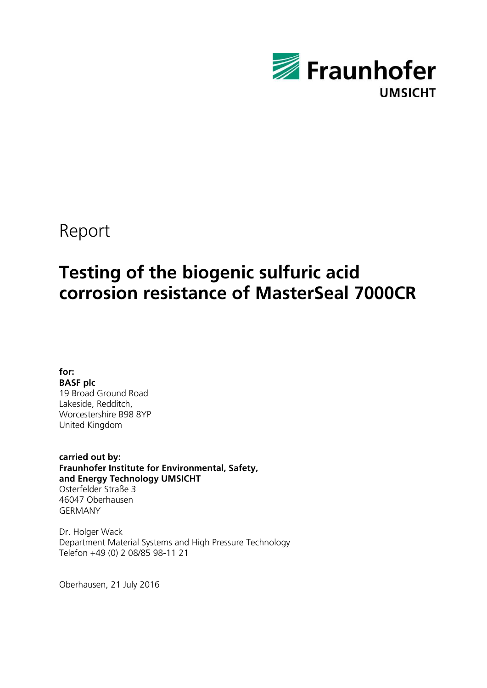

# Report

# **Testing of the biogenic sulfuric acid corrosion resistance of MasterSeal 7000CR**

**for: BASF plc** 19 Broad Ground Road Lakeside, Redditch, Worcestershire B98 8YP United Kingdom

**carried out by: Fraunhofer Institute for Environmental, Safety, and Energy Technology UMSICHT** Osterfelder Straße 3 46047 Oberhausen GERMANY

Dr. Holger Wack Department Material Systems and High Pressure Technology Telefon +49 (0) 2 08/85 98-11 21

Oberhausen, 21 July 2016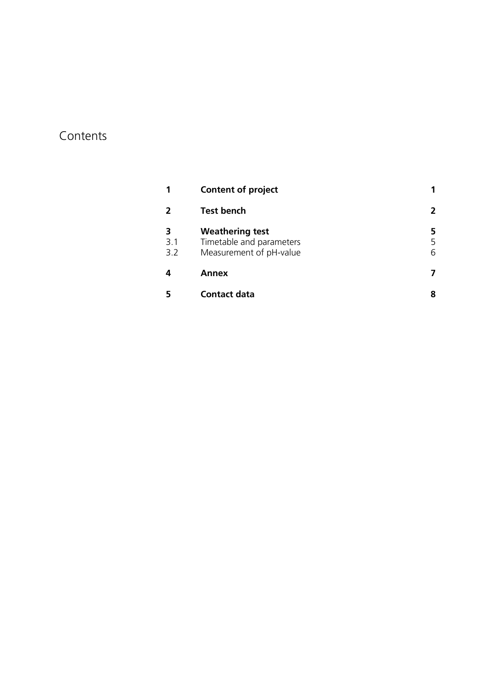# Contents

|            | <b>Content of project</b>                                                     |   |
|------------|-------------------------------------------------------------------------------|---|
|            | <b>Test bench</b>                                                             | 2 |
| 3.1<br>3.2 | <b>Weathering test</b><br>Timetable and parameters<br>Measurement of pH-value | 6 |
| 4          | Annex                                                                         |   |
|            | Contact data                                                                  |   |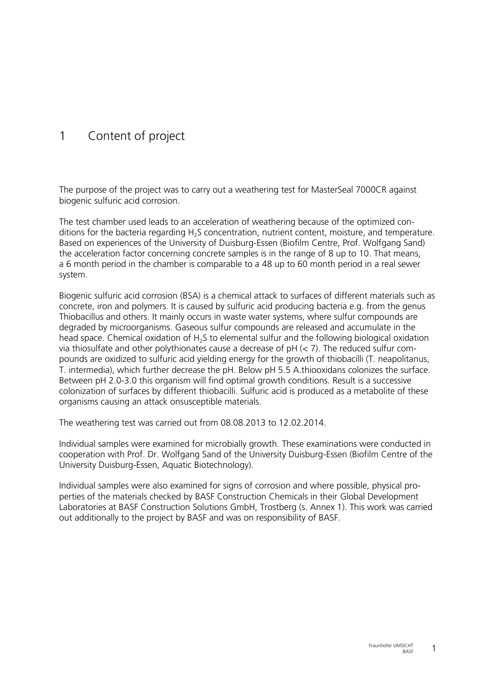# 1 Content of project

The purpose of the project was to carry out a weathering test for MasterSeal 7000CR against biogenic sulfuric acid corrosion.

The test chamber used leads to an acceleration of weathering because of the optimized conditions for the bacteria regarding H<sub>2</sub>S concentration, nutrient content, moisture, and temperature. Based on experiences of the University of Duisburg-Essen (Biofilm Centre, Prof. Wolfgang Sand) the acceleration factor concerning concrete samples is in the range of 8 up to 10. That means, a 6 month period in the chamber is comparable to a 48 up to 60 month period in a real sewer system.

Biogenic sulfuric acid corrosion (BSA) is a chemical attack to surfaces of different materials such as concrete, iron and polymers. It is caused by sulfuric acid producing bacteria e.g. from the genus Thiobacillus and others. It mainly occurs in waste water systems, where sulfur compounds are degraded by microorganisms. Gaseous sulfur compounds are released and accumulate in the head space. Chemical oxidation of  $H_2S$  to elemental sulfur and the following biological oxidation via thiosulfate and other polythionates cause a decrease of  $pH \le 7$ ). The reduced sulfur compounds are oxidized to sulfuric acid yielding energy for the growth of thiobacilli (T. neapolitanus, T. intermedia), which further decrease the pH. Below pH 5.5 A.thiooxidans colonizes the surface. Between pH 2.0-3.0 this organism will find optimal growth conditions. Result is a successive colonization of surfaces by different thiobacilli. Sulfuric acid is produced as a metabolite of these organisms causing an attack onsusceptible materials.

The weathering test was carried out from 08.08.2013 to 12.02.2014.

Individual samples were examined for microbially growth. These examinations were conducted in cooperation with Prof. Dr. Wolfgang Sand of the University Duisburg-Essen (Biofilm Centre of the University Duisburg-Essen, Aquatic Biotechnology).

Individual samples were also examined for signs of corrosion and where possible, physical properties of the materials checked by BASF Construction Chemicals in their Global Development Laboratories at BASF Construction Solutions GmbH, Trostberg (s. Annex 1). This work was carried out additionally to the project by BASF and was on responsibility of BASF.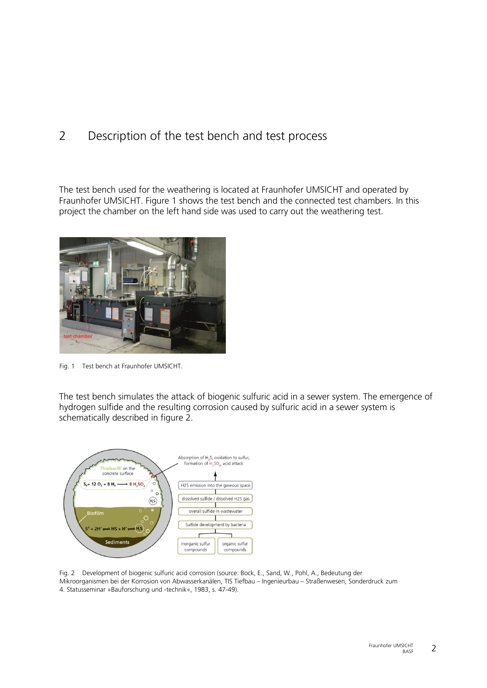# 2 Description of the test bench and test process

The test bench used for the weathering is located at Fraunhofer UMSICHT and operated by Fraunhofer UMSICHT. Figure 1 shows the test bench and the connected test chambers. In this project the chamber on the left hand side was used to carry out the weathering test.



Fig. 1 Test bench at Fraunhofer UMSICHT.

The test bench simulates the attack of biogenic sulfuric acid in a sewer system. The emergence of hydrogen sulfide and the resulting corrosion caused by sulfuric acid in a sewer system is schematically described in figure 2.



Fig. 2 Development of biogenic sulfuric acid corrosion (source: Bock, E., Sand, W., Pohl, A., Bedeutung der Mikroorganismen bei der Korrosion von Abwasserkanälen, TIS Tiefbau – Ingenieurbau – Straßenwesen, Sonderdruck zum 4. Statusseminar »Bauforschung und -technik«, 1983, s. 47-49).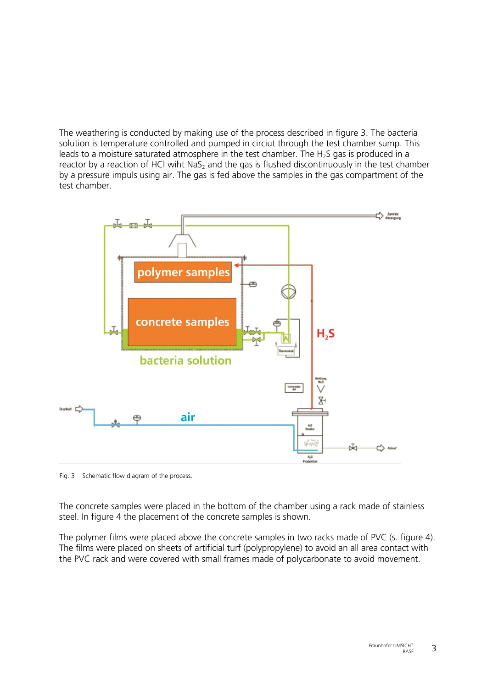The weathering is conducted by making use of the process described in figure 3. The bacteria solution is temperature controlled and pumped in circiut through the test chamber sump. This leads to a moisture saturated atmosphere in the test chamber. The  $H_2S$  gas is produced in a reactor by a reaction of HCl wiht NaS<sub>2</sub> and the gas is flushed discontinuously in the test chamber by a pressure impuls using air. The gas is fed above the samples in the gas compartment of the test chamber.



Fig. 3 Schematic flow diagram of the process.

The concrete samples were placed in the bottom of the chamber using a rack made of stainless steel. In figure 4 the placement of the concrete samples is shown.

The polymer films were placed above the concrete samples in two racks made of PVC (s. figure 4). The films were placed on sheets of artificial turf (polypropylene) to avoid an all area contact with the PVC rack and were covered with small frames made of polycarbonate to avoid movement.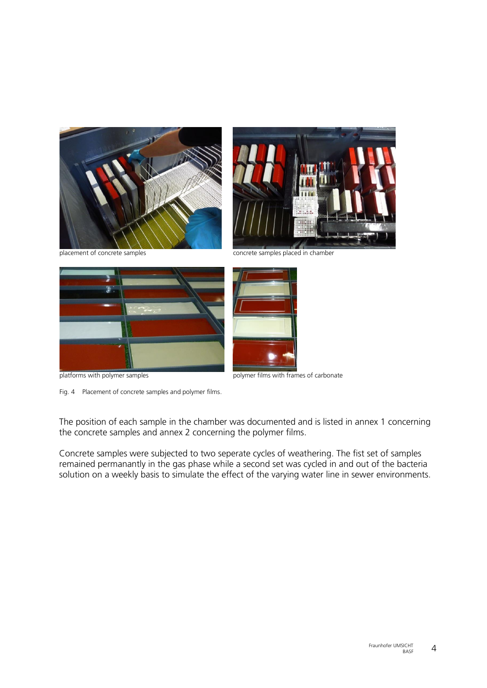





Fig. 4 Placement of concrete samples and polymer films.

placement of concrete samples concrete samples placed in chamber



platforms with polymer samples polymer films with frames of carbonate

The position of each sample in the chamber was documented and is listed in annex 1 concerning the concrete samples and annex 2 concerning the polymer films.

Concrete samples were subjected to two seperate cycles of weathering. The fist set of samples remained permanantly in the gas phase while a second set was cycled in and out of the bacteria solution on a weekly basis to simulate the effect of the varying water line in sewer environments.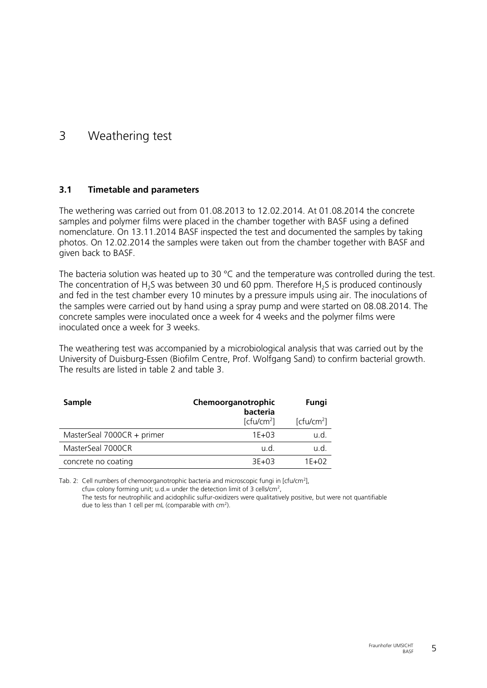### 3 Weathering test

#### **3.1 Timetable and parameters**

The wethering was carried out from 01.08.2013 to 12.02.2014. At 01.08.2014 the concrete samples and polymer films were placed in the chamber together with BASF using a defined nomenclature. On 13.11.2014 BASF inspected the test and documented the samples by taking photos. On 12.02.2014 the samples were taken out from the chamber together with BASF and given back to BASF.

The bacteria solution was heated up to 30 °C and the temperature was controlled during the test. The concentration of  $H_2S$  was between 30 und 60 ppm. Therefore  $H_2S$  is produced continously and fed in the test chamber every 10 minutes by a pressure impuls using air. The inoculations of the samples were carried out by hand using a spray pump and were started on 08.08.2014. The concrete samples were inoculated once a week for 4 weeks and the polymer films were inoculated once a week for 3 weeks.

The weathering test was accompanied by a microbiological analysis that was carried out by the University of Duisburg-Essen (Biofilm Centre, Prof. Wolfgang Sand) to confirm bacterial growth. The results are listed in table 2 and table 3.

| <b>Sample</b>              | Chemoorganotrophic<br>bacteria | Fungi                  |
|----------------------------|--------------------------------|------------------------|
|                            | [ctu/cm <sup>2</sup> ]         | [ctu/cm <sup>2</sup> ] |
| MasterSeal 7000CR + primer | $1F + 03$                      | u.d.                   |
| MasterSeal 7000CR          | u.d.                           | u.d.                   |
| concrete no coating        | $3F + 03$                      | $1F+02$                |

Tab. 2: Cell numbers of chemoorganotrophic bacteria and microscopic fungi in [cfu/cm<sup>2</sup>], cfu= colony forming unit; u.d.= under the detection limit of 3 cells/cm<sup>2</sup>,

The tests for neutrophilic and acidophilic sulfur-oxidizers were qualitatively positive, but were not quantifiable due to less than 1 cell per mL (comparable with  $cm<sup>2</sup>$ ).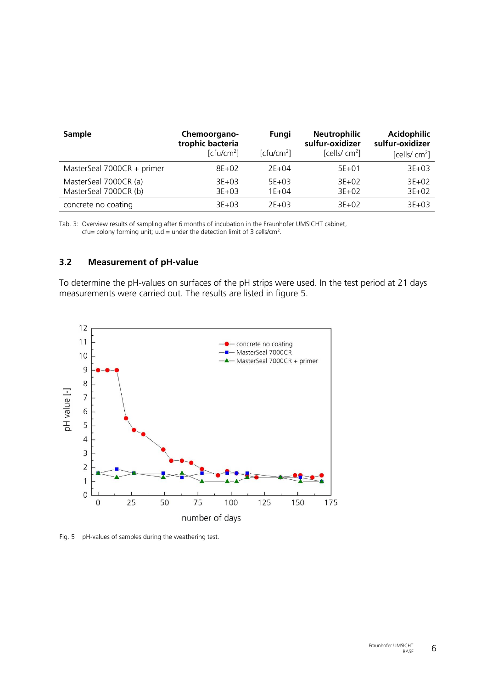| Sample                                         | Chemoorgano-<br>trophic bacteria<br>[ctu/cm <sup>2</sup> ] | Fungi<br>[ctu/cm <sup>2</sup> ] | <b>Neutrophilic</b><br>sulfur-oxidizer<br>[cells/ $\rm cm^2$ ] | <b>Acidophilic</b><br>sulfur-oxidizer<br>[cells/ $\text{cm}^2$ ] |
|------------------------------------------------|------------------------------------------------------------|---------------------------------|----------------------------------------------------------------|------------------------------------------------------------------|
| MasterSeal 7000CR + primer                     | $8E+02$                                                    | $2E+04$                         | $5E+01$                                                        | $3E+03$                                                          |
| MasterSeal 7000CR (a)<br>MasterSeal 7000CR (b) | $3E+03$<br>$3E+03$                                         | $5E+03$<br>$1E + 04$            | $3E+02$<br>$3E+02$                                             | $3E+02$<br>$3E+02$                                               |
| concrete no coating                            | $3E+03$                                                    | $2E+03$                         | $3E+02$                                                        | $3E+03$                                                          |

Tab. 3: Overview results of sampling after 6 months of incubation in the Fraunhofer UMSICHT cabinet, cfu= colony forming unit; u.d.= under the detection limit of 3 cells/cm<sup>2</sup>.

#### **3.2 Measurement of pH-value**

To determine the pH-values on surfaces of the pH strips were used. In the test period at 21 days measurements were carried out. The results are listed in figure 5.



Fig. 5 pH-values of samples during the weathering test.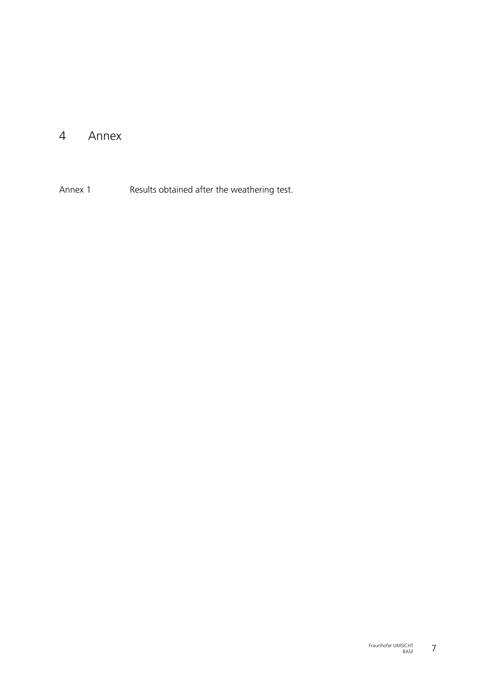## 4 Annex

Annex 1 Results obtained after the weathering test.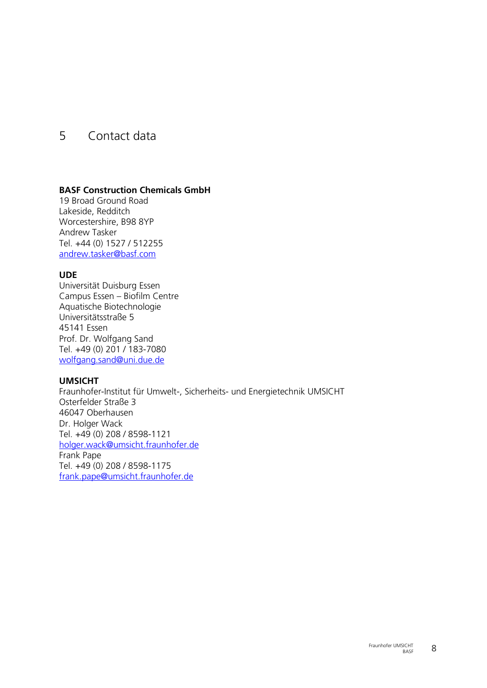## 5 Contact data

#### **BASF Construction Chemicals GmbH**

19 Broad Ground Road Lakeside, Redditch Worcestershire, B98 8YP Andrew Tasker Tel. +44 (0) 1527 / 512255 [andrew.tasker@basf.com](mailto:andrew.tasker@basf.com)

#### **UDE**

Universität Duisburg Essen Campus Essen – Biofilm Centre Aquatische Biotechnologie Universitätsstraße 5 45141 Essen Prof. Dr. Wolfgang Sand Tel. +49 (0) 201 / 183-7080 [wolfgang.sand@uni.due.de](mailto:wolfgang.sand@uni.due.de)

#### **UMSICHT**

Fraunhofer-Institut für Umwelt-, Sicherheits- und Energietechnik UMSICHT Osterfelder Straße 3 46047 Oberhausen Dr. Holger Wack Tel. +49 (0) 208 / 8598-1121 [holger.wack@umsicht.fraunhofer.de](mailto:holger.wack@umsicht.fraunhofer.de) Frank Pape Tel. +49 (0) 208 / 8598-1175 [frank.pape@umsicht.fraunhofer.de](mailto:frank.pape@umsicht.fraunhofer.de)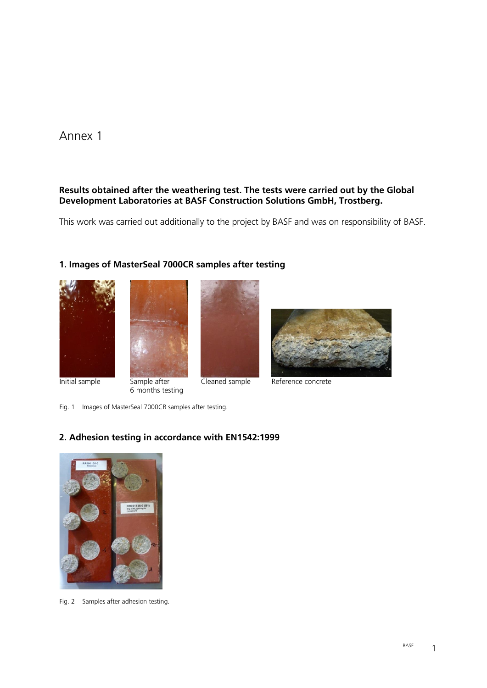### Annex 1

### **Results obtained after the weathering test. The tests were carried out by the Global Development Laboratories at BASF Construction Solutions GmbH, Trostberg.**

This work was carried out additionally to the project by BASF and was on responsibility of BASF.

### **1. Images of MasterSeal 7000CR samples after testing**





6 months testing





Initial sample Sample after Cleaned sample Reference concrete

Fig. 1 Images of MasterSeal 7000CR samples after testing.

### **2. Adhesion testing in accordance with EN1542:1999**



Fig. 2 Samples after adhesion testing.